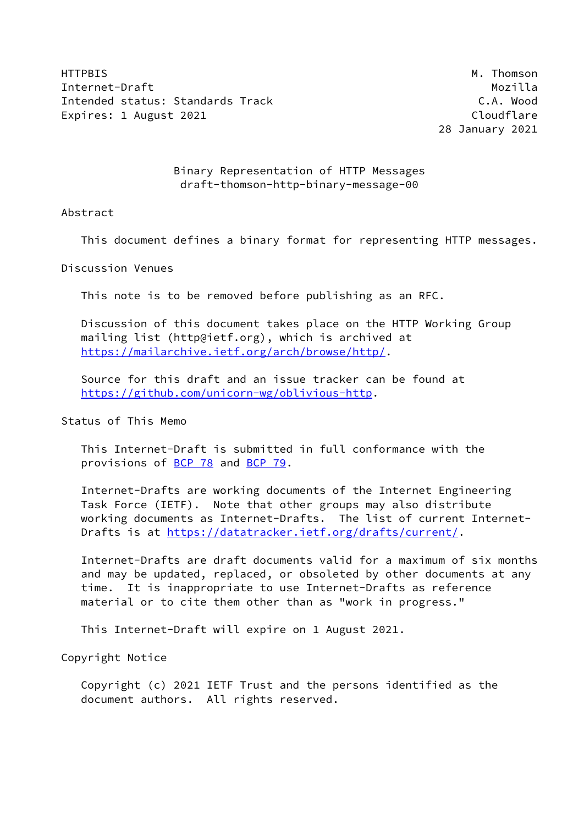HTTPBIS M. Thomson Internet-Draft Mozilla Intended status: Standards Track C.A. Wood Expires: 1 August 2021 **Cloudflare** 

28 January 2021

# Binary Representation of HTTP Messages draft-thomson-http-binary-message-00

# Abstract

This document defines a binary format for representing HTTP messages.

Discussion Venues

This note is to be removed before publishing as an RFC.

 Discussion of this document takes place on the HTTP Working Group mailing list (http@ietf.org), which is archived at <https://mailarchive.ietf.org/arch/browse/http/>.

 Source for this draft and an issue tracker can be found at <https://github.com/unicorn-wg/oblivious-http>.

# Status of This Memo

 This Internet-Draft is submitted in full conformance with the provisions of [BCP 78](https://datatracker.ietf.org/doc/pdf/bcp78) and [BCP 79](https://datatracker.ietf.org/doc/pdf/bcp79).

 Internet-Drafts are working documents of the Internet Engineering Task Force (IETF). Note that other groups may also distribute working documents as Internet-Drafts. The list of current Internet Drafts is at<https://datatracker.ietf.org/drafts/current/>.

 Internet-Drafts are draft documents valid for a maximum of six months and may be updated, replaced, or obsoleted by other documents at any time. It is inappropriate to use Internet-Drafts as reference material or to cite them other than as "work in progress."

This Internet-Draft will expire on 1 August 2021.

Copyright Notice

 Copyright (c) 2021 IETF Trust and the persons identified as the document authors. All rights reserved.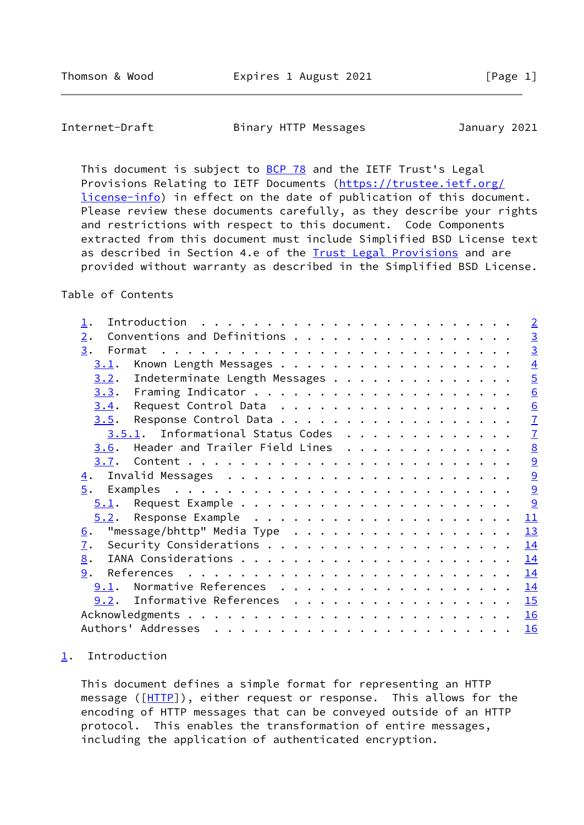<span id="page-1-1"></span>Internet-Draft Binary HTTP Messages January 2021

This document is subject to [BCP 78](https://datatracker.ietf.org/doc/pdf/bcp78) and the IETF Trust's Legal Provisions Relating to IETF Documents ([https://trustee.ietf.org/](https://trustee.ietf.org/license-info) [license-info](https://trustee.ietf.org/license-info)) in effect on the date of publication of this document. Please review these documents carefully, as they describe your rights and restrictions with respect to this document. Code Components extracted from this document must include Simplified BSD License text as described in Section 4.e of the [Trust Legal Provisions](https://trustee.ietf.org/license-info) and are provided without warranty as described in the Simplified BSD License.

# Table of Contents

|                                                                            | $\overline{2}$  |
|----------------------------------------------------------------------------|-----------------|
| Conventions and Definitions<br>2.                                          | $\overline{3}$  |
| 3.                                                                         | $\overline{3}$  |
| 3.1.                                                                       | $\frac{4}{5}$   |
| Indeterminate Length Messages<br>3.2.                                      |                 |
| 3.3.                                                                       | 6               |
| Request Control Data<br><u>3.4</u> .                                       | 6               |
| 3.5.                                                                       | $\overline{1}$  |
| 3.5.1. Informational Status Codes                                          | $\overline{1}$  |
| Header and Trailer Field Lines<br>3.6.                                     | $\underline{8}$ |
|                                                                            | $\underline{9}$ |
| 4.                                                                         | $\frac{9}{9}$   |
| 5.                                                                         |                 |
|                                                                            | 9               |
|                                                                            | 11              |
| "message/bhttp" Media Type<br><u>6</u> .                                   | 13              |
| $\mathbf{I}$ .                                                             | 14              |
| 8.                                                                         | 14              |
| 9.<br>References $\ldots \ldots \ldots \ldots \ldots \ldots \ldots \ldots$ | 14              |
| 9.1. Normative References                                                  | 14              |
| 9.2. Informative References                                                | 15              |
|                                                                            | 16              |
|                                                                            | 16              |
|                                                                            |                 |

# <span id="page-1-0"></span>[1](#page-1-0). Introduction

 This document defines a simple format for representing an HTTP message ([\[HTTP](#page-15-4)]), either request or response. This allows for the encoding of HTTP messages that can be conveyed outside of an HTTP protocol. This enables the transformation of entire messages, including the application of authenticated encryption.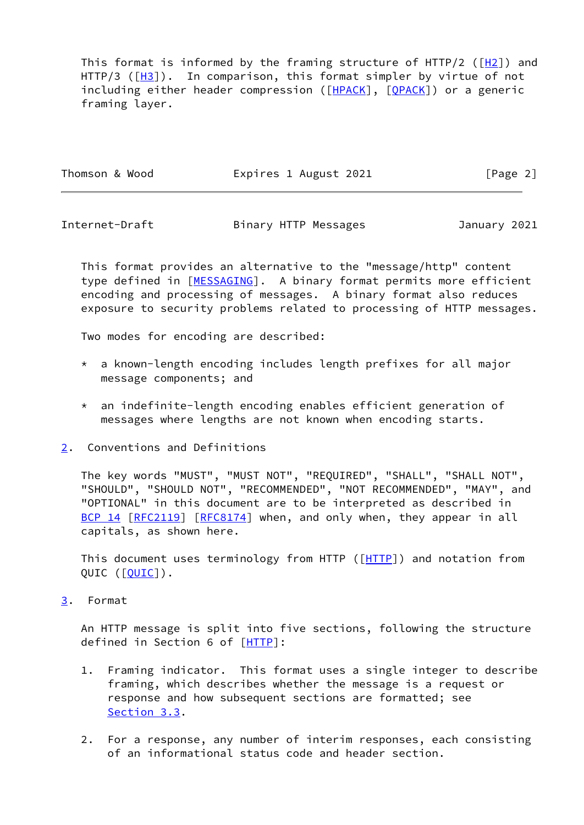This format is informed by the framing structure of HTTP/2 ( $[H2]$ ) and HTTP/3 ( $[H3]$ ). In comparison, this format simpler by virtue of not including either header compression ([\[HPACK\]](#page-16-2), [[QPACK\]](#page-16-3)) or a generic framing layer.

| Thomson & Wood | Expires 1 August 2021 | [Page 2] |
|----------------|-----------------------|----------|
|                |                       |          |

<span id="page-2-1"></span>Internet-Draft Binary HTTP Messages January 2021

 This format provides an alternative to the "message/http" content type defined in [\[MESSAGING](#page-15-6)]. A binary format permits more efficient encoding and processing of messages. A binary format also reduces exposure to security problems related to processing of HTTP messages.

Two modes for encoding are described:

- \* a known-length encoding includes length prefixes for all major message components; and
- \* an indefinite-length encoding enables efficient generation of messages where lengths are not known when encoding starts.
- <span id="page-2-0"></span>[2](#page-2-0). Conventions and Definitions

 The key words "MUST", "MUST NOT", "REQUIRED", "SHALL", "SHALL NOT", "SHOULD", "SHOULD NOT", "RECOMMENDED", "NOT RECOMMENDED", "MAY", and "OPTIONAL" in this document are to be interpreted as described in [BCP 14](https://datatracker.ietf.org/doc/pdf/bcp14) [\[RFC2119](https://datatracker.ietf.org/doc/pdf/rfc2119)] [\[RFC8174](https://datatracker.ietf.org/doc/pdf/rfc8174)] when, and only when, they appear in all capitals, as shown here.

This document uses terminology from HTTP ([[HTTP\]](#page-15-4)) and notation from QUIC ([[QUIC\]](#page-16-4)).

<span id="page-2-2"></span>[3](#page-2-2). Format

 An HTTP message is split into five sections, following the structure defined in Section 6 of [\[HTTP](#page-15-4)]:

- 1. Framing indicator. This format uses a single integer to describe framing, which describes whether the message is a request or response and how subsequent sections are formatted; see [Section 3.3.](#page-5-0)
- 2. For a response, any number of interim responses, each consisting of an informational status code and header section.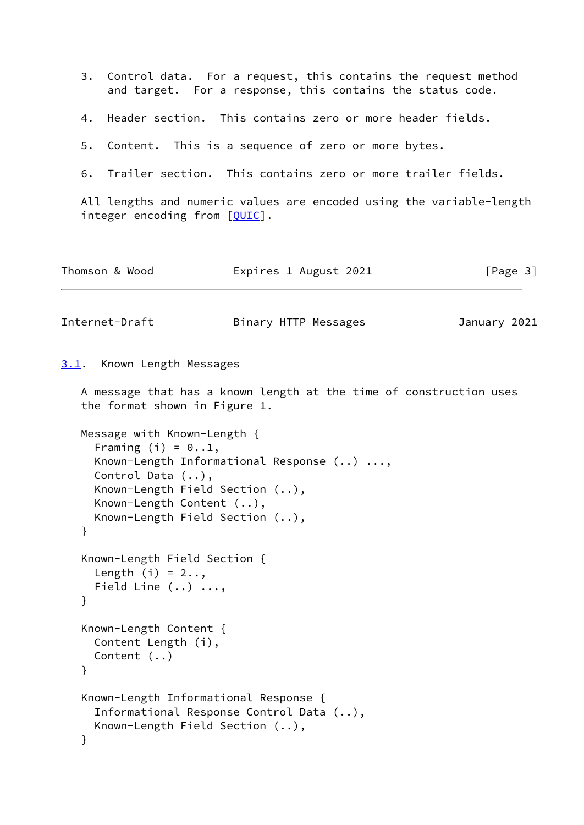<span id="page-3-1"></span><span id="page-3-0"></span> 3. Control data. For a request, this contains the request method and target. For a response, this contains the status code. 4. Header section. This contains zero or more header fields. 5. Content. This is a sequence of zero or more bytes. 6. Trailer section. This contains zero or more trailer fields. All lengths and numeric values are encoded using the variable-length integer encoding from [OUIC]. Thomson & Wood **Expires 1 August 2021** [Page 3] Internet-Draft Binary HTTP Messages January 2021 [3.1](#page-3-0). Known Length Messages A message that has a known length at the time of construction uses the format shown in Figure 1. Message with Known-Length { Framing  $(i) = 0...1$ , Known-Length Informational Response (..) ..., Control Data (..), Known-Length Field Section (..), Known-Length Content (..), Known-Length Field Section (..), } Known-Length Field Section { Length  $(i) = 2...$ Field Line (..) ..., } Known-Length Content { Content Length (i), Content (..) } Known-Length Informational Response { Informational Response Control Data (..), Known-Length Field Section (..), }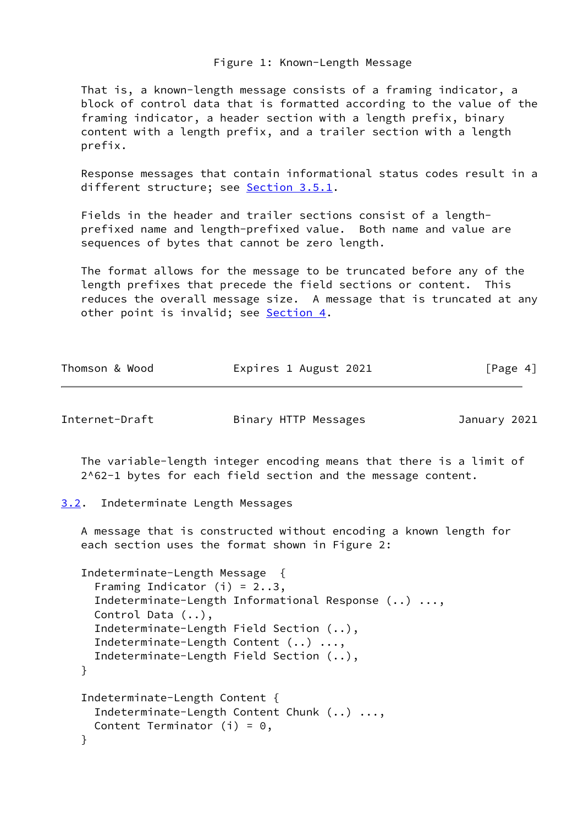## Figure 1: Known-Length Message

 That is, a known-length message consists of a framing indicator, a block of control data that is formatted according to the value of the framing indicator, a header section with a length prefix, binary content with a length prefix, and a trailer section with a length prefix.

 Response messages that contain informational status codes result in a different structure; see [Section 3.5.1](#page-7-1).

 Fields in the header and trailer sections consist of a length prefixed name and length-prefixed value. Both name and value are sequences of bytes that cannot be zero length.

 The format allows for the message to be truncated before any of the length prefixes that precede the field sections or content. This reduces the overall message size. A message that is truncated at any other point is invalid; see [Section 4.](#page-9-2)

| Thomson & Wood<br>[Page 4]<br>Expires 1 August 2021 |  |
|-----------------------------------------------------|--|
|-----------------------------------------------------|--|

<span id="page-4-1"></span>Internet-Draft Binary HTTP Messages January 2021

 The variable-length integer encoding means that there is a limit of 2^62-1 bytes for each field section and the message content.

<span id="page-4-0"></span>[3.2](#page-4-0). Indeterminate Length Messages

 A message that is constructed without encoding a known length for each section uses the format shown in Figure 2:

```
 Indeterminate-Length Message {
  Framing Indicator (i) = 2..3,
  Indeterminate-Length Informational Response (..) ...,
  Control Data (..),
  Indeterminate-Length Field Section (..),
  Indeterminate-Length Content (..) ...,
  Indeterminate-Length Field Section (..),
}
Indeterminate-Length Content {
  Indeterminate-Length Content Chunk (..) ...,
Content Terminator (i) = 0,
}
```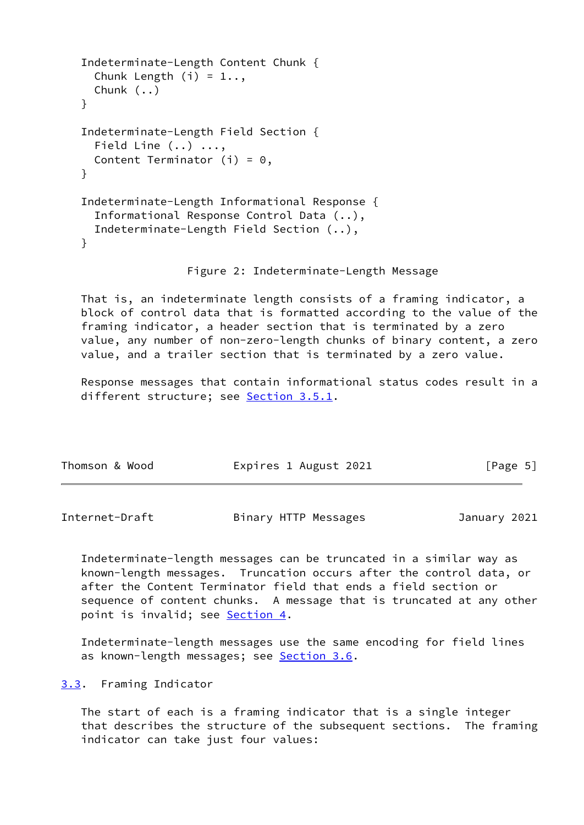```
 Indeterminate-Length Content Chunk {
 Chunk Length (i) = 1... Chunk (..)
}
Indeterminate-Length Field Section {
  Field Line (..) ...,
 Content Terminator (i) = 0,
}
Indeterminate-Length Informational Response {
  Informational Response Control Data (..),
  Indeterminate-Length Field Section (..),
}
```

```
 Figure 2: Indeterminate-Length Message
```
 That is, an indeterminate length consists of a framing indicator, a block of control data that is formatted according to the value of the framing indicator, a header section that is terminated by a zero value, any number of non-zero-length chunks of binary content, a zero value, and a trailer section that is terminated by a zero value.

 Response messages that contain informational status codes result in a different structure; see [Section 3.5.1](#page-7-1).

| Thomson & Wood | Expires 1 August 2021 | [Page 5] |
|----------------|-----------------------|----------|
|----------------|-----------------------|----------|

<span id="page-5-1"></span>

| Internet-Draft | Binary HTTP Messages | January 2021 |
|----------------|----------------------|--------------|
|----------------|----------------------|--------------|

 Indeterminate-length messages can be truncated in a similar way as known-length messages. Truncation occurs after the control data, or after the Content Terminator field that ends a field section or sequence of content chunks. A message that is truncated at any other point is invalid; see **Section 4**.

 Indeterminate-length messages use the same encoding for field lines as known-length messages; see **Section 3.6.** 

<span id="page-5-0"></span>[3.3](#page-5-0). Framing Indicator

 The start of each is a framing indicator that is a single integer that describes the structure of the subsequent sections. The framing indicator can take just four values: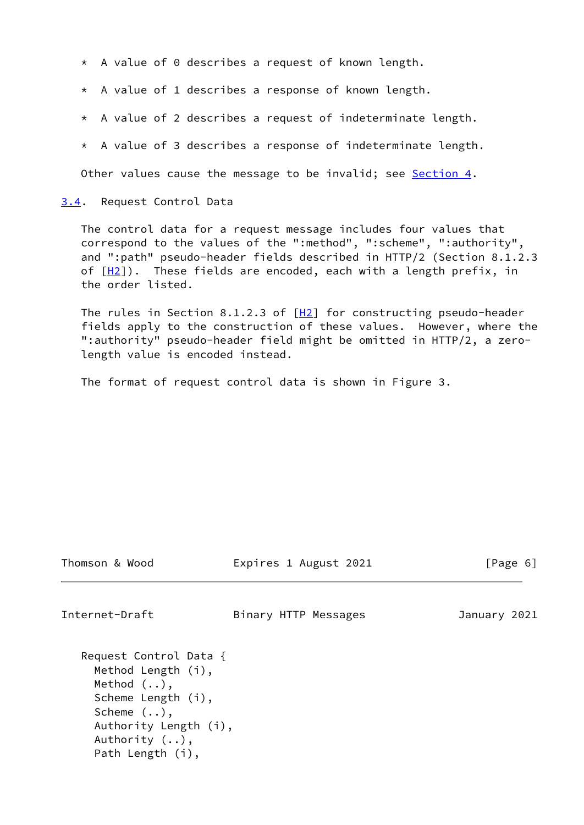- \* A value of 0 describes a request of known length.
- \* A value of 1 describes a response of known length.
- \* A value of 2 describes a request of indeterminate length.
- \* A value of 3 describes a response of indeterminate length.

Other values cause the message to be invalid; see [Section 4.](#page-9-2)

### <span id="page-6-0"></span>[3.4](#page-6-0). Request Control Data

 The control data for a request message includes four values that correspond to the values of the ":method", ":scheme", ":authority", and ":path" pseudo-header fields described in HTTP/2 (Section 8.1.2.3 of  $[H2]$  $[H2]$ ). These fields are encoded, each with a length prefix, in the order listed.

The rules in Section 8.1.2.3 of  $[H2]$  for constructing pseudo-header fields apply to the construction of these values. However, where the ":authority" pseudo-header field might be omitted in HTTP/2, a zero length value is encoded instead.

The format of request control data is shown in Figure 3.

Thomson & Wood Expires 1 August 2021 [Page 6]

<span id="page-6-1"></span>Internet-Draft Binary HTTP Messages January 2021

 Request Control Data { Method Length (i), Method (..), Scheme Length (i), Scheme (..), Authority Length (i), Authority (..), Path Length (i),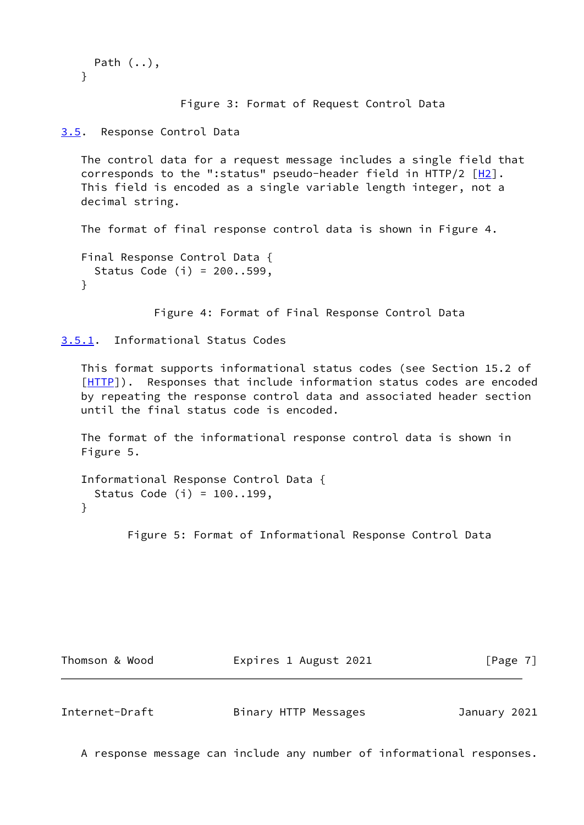```
 Path (..),
}
```
Figure 3: Format of Request Control Data

<span id="page-7-0"></span>[3.5](#page-7-0). Response Control Data

 The control data for a request message includes a single field that corresponds to the ":status" pseudo-header field in HTTP/2  $[H2]$  $[H2]$ . This field is encoded as a single variable length integer, not a decimal string.

The format of final response control data is shown in Figure 4.

```
 Final Response Control Data {
  Status Code (i) = 200..599,
}
```
Figure 4: Format of Final Response Control Data

<span id="page-7-1"></span>[3.5.1](#page-7-1). Informational Status Codes

 This format supports informational status codes (see Section 15.2 of [\[HTTP](#page-15-4)]). Responses that include information status codes are encoded by repeating the response control data and associated header section until the final status code is encoded.

 The format of the informational response control data is shown in Figure 5.

```
 Informational Response Control Data {
  Status Code (i) = 100..199,
}
```
Figure 5: Format of Informational Response Control Data

| Thomson & Wood | Expires 1 August 2021 | [Page 7] |
|----------------|-----------------------|----------|
|                |                       |          |

<span id="page-7-2"></span>

| Internet-Draft | Binary HTTP Messages | January 2021 |
|----------------|----------------------|--------------|
|----------------|----------------------|--------------|

A response message can include any number of informational responses.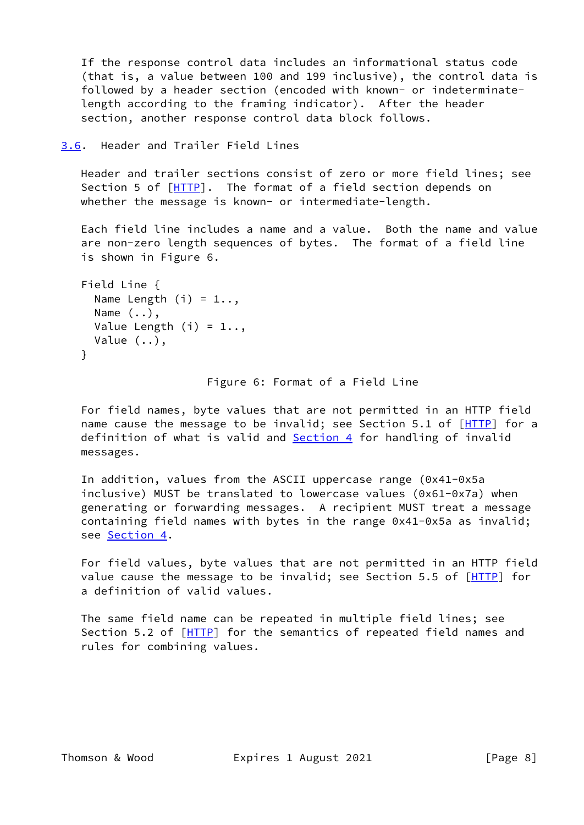If the response control data includes an informational status code (that is, a value between 100 and 199 inclusive), the control data is followed by a header section (encoded with known- or indeterminate length according to the framing indicator). After the header section, another response control data block follows.

```
3.6. Header and Trailer Field Lines
```
 Header and trailer sections consist of zero or more field lines; see Section 5 of [\[HTTP](#page-15-4)]. The format of a field section depends on whether the message is known- or intermediate-length.

 Each field line includes a name and a value. Both the name and value are non-zero length sequences of bytes. The format of a field line is shown in Figure 6.

```
 Field Line {
 Name Length (i) = 1... Name (..),
 Value Length (i) = 1... Value (..),
}
```
Figure 6: Format of a Field Line

 For field names, byte values that are not permitted in an HTTP field name cause the message to be invalid; see Section 5.1 of [\[HTTP](#page-15-4)] for a definition of what is valid and **Section 4** for handling of invalid messages.

 In addition, values from the ASCII uppercase range (0x41-0x5a inclusive) MUST be translated to lowercase values (0x61-0x7a) when generating or forwarding messages. A recipient MUST treat a message containing field names with bytes in the range 0x41-0x5a as invalid; see [Section 4.](#page-9-2)

 For field values, byte values that are not permitted in an HTTP field value cause the message to be invalid; see Section 5.5 of [[HTTP\]](#page-15-4) for a definition of valid values.

 The same field name can be repeated in multiple field lines; see Section 5.2 of [\[HTTP](#page-15-4)] for the semantics of repeated field names and rules for combining values.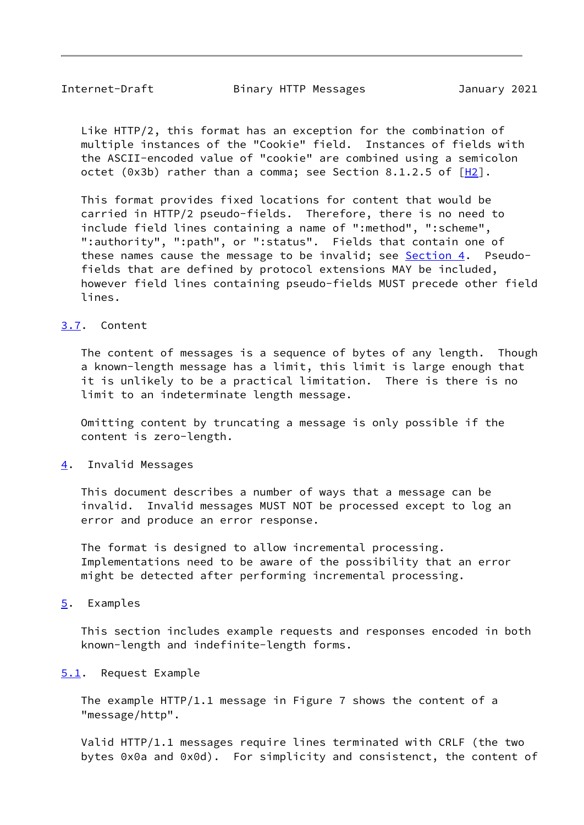<span id="page-9-1"></span>Internet-Draft Binary HTTP Messages January 2021

 Like HTTP/2, this format has an exception for the combination of multiple instances of the "Cookie" field. Instances of fields with the ASCII-encoded value of "cookie" are combined using a semicolon octet (0x3b) rather than a comma; see Section 8.1.2.5 of  $[H2]$ .

 This format provides fixed locations for content that would be carried in HTTP/2 pseudo-fields. Therefore, there is no need to include field lines containing a name of ":method", ":scheme", ":authority", ":path", or ":status". Fields that contain one of these names cause the message to be invalid; see [Section 4](#page-9-2). Pseudo fields that are defined by protocol extensions MAY be included, however field lines containing pseudo-fields MUST precede other field lines.

# <span id="page-9-0"></span>[3.7](#page-9-0). Content

 The content of messages is a sequence of bytes of any length. Though a known-length message has a limit, this limit is large enough that it is unlikely to be a practical limitation. There is there is no limit to an indeterminate length message.

 Omitting content by truncating a message is only possible if the content is zero-length.

<span id="page-9-2"></span>[4](#page-9-2). Invalid Messages

 This document describes a number of ways that a message can be invalid. Invalid messages MUST NOT be processed except to log an error and produce an error response.

 The format is designed to allow incremental processing. Implementations need to be aware of the possibility that an error might be detected after performing incremental processing.

### <span id="page-9-3"></span>[5](#page-9-3). Examples

 This section includes example requests and responses encoded in both known-length and indefinite-length forms.

### <span id="page-9-4"></span>[5.1](#page-9-4). Request Example

 The example HTTP/1.1 message in Figure 7 shows the content of a "message/http".

 Valid HTTP/1.1 messages require lines terminated with CRLF (the two bytes 0x0a and 0x0d). For simplicity and consistenct, the content of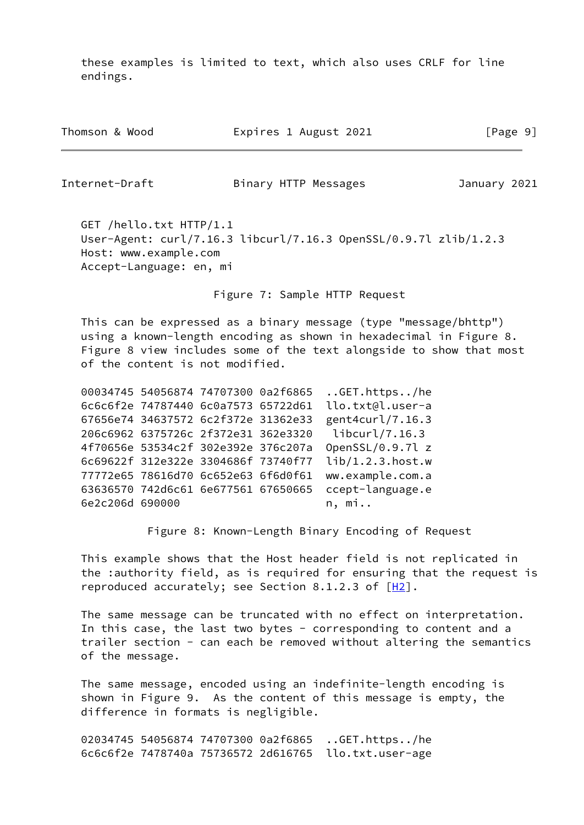these examples is limited to text, which also uses CRLF for line endings.

| Expires 1 August 2021<br>Thomson & Wood | [Page 9] |
|-----------------------------------------|----------|
|-----------------------------------------|----------|

Internet-Draft Binary HTTP Messages January 2021

 GET /hello.txt HTTP/1.1 User-Agent: curl/7.16.3 libcurl/7.16.3 OpenSSL/0.9.7l zlib/1.2.3 Host: www.example.com Accept-Language: en, mi

Figure 7: Sample HTTP Request

 This can be expressed as a binary message (type "message/bhttp") using a known-length encoding as shown in hexadecimal in Figure 8. Figure 8 view includes some of the text alongside to show that most of the content is not modified.

 00034745 54056874 74707300 0a2f6865 ..GET.https../he 6c6c6f2e 74787440 6c0a7573 65722d61 llo.txt@l.user-a 67656e74 34637572 6c2f372e 31362e33 gent4curl/7.16.3 206c6962 6375726c 2f372e31 362e3320 libcurl/7.16.3 4f70656e 53534c2f 302e392e 376c207a OpenSSL/0.9.7l z 6c69622f 312e322e 3304686f 73740f77 lib/1.2.3.host.w 77772e65 78616d70 6c652e63 6f6d0f61 ww.example.com.a 63636570 742d6c61 6e677561 67650665 ccept-language.e 6e2c206d 690000 n, mi..

Figure 8: Known-Length Binary Encoding of Request

 This example shows that the Host header field is not replicated in the :authority field, as is required for ensuring that the request is reproduced accurately; see Section 8.1.2.3 of [[H2\]](#page-15-5).

 The same message can be truncated with no effect on interpretation. In this case, the last two bytes - corresponding to content and a trailer section - can each be removed without altering the semantics of the message.

 The same message, encoded using an indefinite-length encoding is shown in Figure 9. As the content of this message is empty, the difference in formats is negligible.

02034745 54056874 74707300 0a2f6865 ..GET.https../he 6c6c6f2e 7478740a 75736572 2d616765 llo.txt.user-age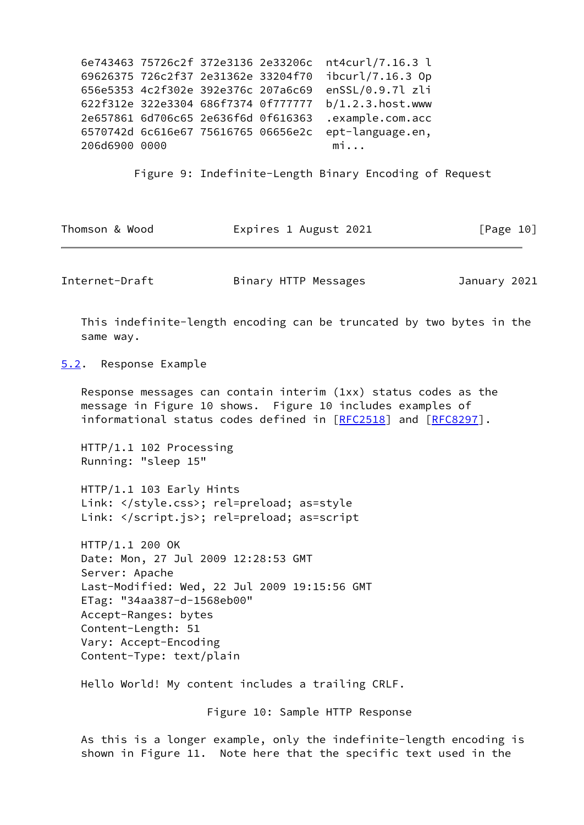|               |                                     |                                     | 6e743463 75726c2f 372e3136 2e33206c nt4curl/7.16.3 l |
|---------------|-------------------------------------|-------------------------------------|------------------------------------------------------|
|               |                                     |                                     | 69626375 726c2f37 2e31362e 33204f70 ibcurl/7.16.3 Op |
|               | 656e5353 4c2f302e 392e376c 207a6c69 |                                     | enSSL/0.9.7l zli                                     |
|               |                                     | 622f312e 322e3304 686f7374 0f777777 | $b/1.2.3.$ host.www                                  |
|               | 2e657861 6d706c65 2e636f6d 0f616363 |                                     | .example.com.acc                                     |
|               |                                     | 6570742d 6c616e67 75616765 06656e2c | ept-language.en,                                     |
| 206d6900 0000 |                                     |                                     | $m1$                                                 |
|               |                                     |                                     |                                                      |

Figure 9: Indefinite-Length Binary Encoding of Request

| Thomson & Wood | Expires 1 August 2021 | [Page 10] |  |
|----------------|-----------------------|-----------|--|
|                |                       |           |  |

<span id="page-11-1"></span>Internet-Draft Binary HTTP Messages January 2021

 This indefinite-length encoding can be truncated by two bytes in the same way.

<span id="page-11-0"></span>[5.2](#page-11-0). Response Example

 Response messages can contain interim (1xx) status codes as the message in Figure 10 shows. Figure 10 includes examples of informational status codes defined in [[RFC2518](https://datatracker.ietf.org/doc/pdf/rfc2518)] and [\[RFC8297](https://datatracker.ietf.org/doc/pdf/rfc8297)].

 HTTP/1.1 102 Processing Running: "sleep 15"

 HTTP/1.1 103 Early Hints Link: </style.css>; rel=preload; as=style Link: </script.js>; rel=preload; as=script

 HTTP/1.1 200 OK Date: Mon, 27 Jul 2009 12:28:53 GMT Server: Apache Last-Modified: Wed, 22 Jul 2009 19:15:56 GMT ETag: "34aa387-d-1568eb00" Accept-Ranges: bytes Content-Length: 51 Vary: Accept-Encoding Content-Type: text/plain

Hello World! My content includes a trailing CRLF.

Figure 10: Sample HTTP Response

 As this is a longer example, only the indefinite-length encoding is shown in Figure 11. Note here that the specific text used in the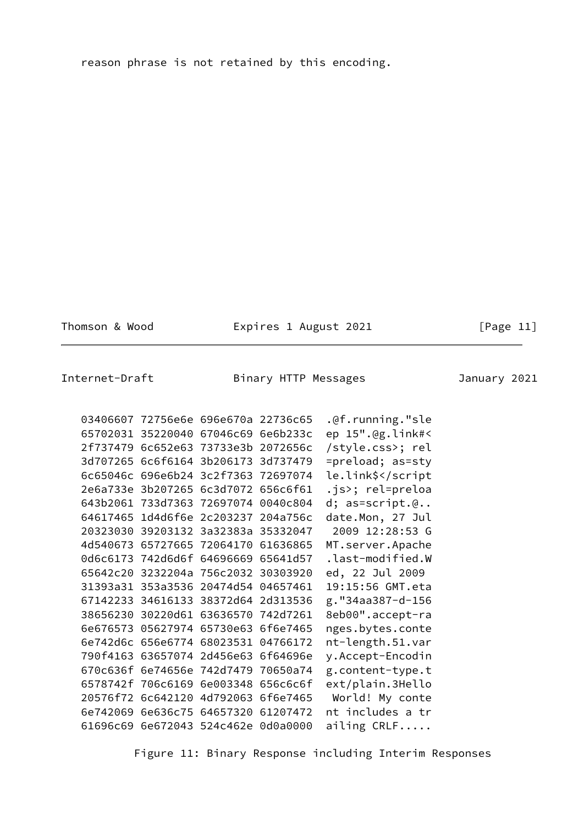reason phrase is not retained by this encoding.

Thomson & Wood Expires 1 August 2021 [Page 11]

Internet-Draft Binary HTTP Messages January 2021

 03406607 72756e6e 696e670a 22736c65 .@f.running."sle 65702031 35220040 67046c69 6e6b233c ep 15".@g.link#< 2f737479 6c652e63 73733e3b 2072656c /style.css>; rel 3d707265 6c6f6164 3b206173 3d737479 =preload; as=sty 6c65046c 696e6b24 3c2f7363 72697074 le.link\$</script 2e6a733e 3b207265 6c3d7072 656c6f61 .js>; rel=preloa 643b2061 733d7363 72697074 0040c804 d; as=script.@.. 64617465 1d4d6f6e 2c203237 204a756c date.Mon, 27 Jul 20323030 39203132 3a32383a 35332047 2009 12:28:53 G 4d540673 65727665 72064170 61636865 MT.server.Apache 0d6c6173 742d6d6f 64696669 65641d57 .last-modified.W 65642c20 3232204a 756c2032 30303920 ed, 22 Jul 2009 31393a31 353a3536 20474d54 04657461 19:15:56 GMT.eta 67142233 34616133 38372d64 2d313536 g."34aa387-d-156 38656230 30220d61 63636570 742d7261 8eb00".accept-ra 6e676573 05627974 65730e63 6f6e7465 nges.bytes.conte 6e742d6c 656e6774 68023531 04766172 nt-length.51.var 790f4163 63657074 2d456e63 6f64696e y.Accept-Encodin 670c636f 6e74656e 742d7479 70650a74 g.content-type.t 6578742f 706c6169 6e003348 656c6c6f ext/plain.3Hello 20576f72 6c642120 4d792063 6f6e7465 World! My conte 6e742069 6e636c75 64657320 61207472 nt includes a tr 61696c69 6e672043 524c462e 0d0a0000 ailing CRLF.....

Figure 11: Binary Response including Interim Responses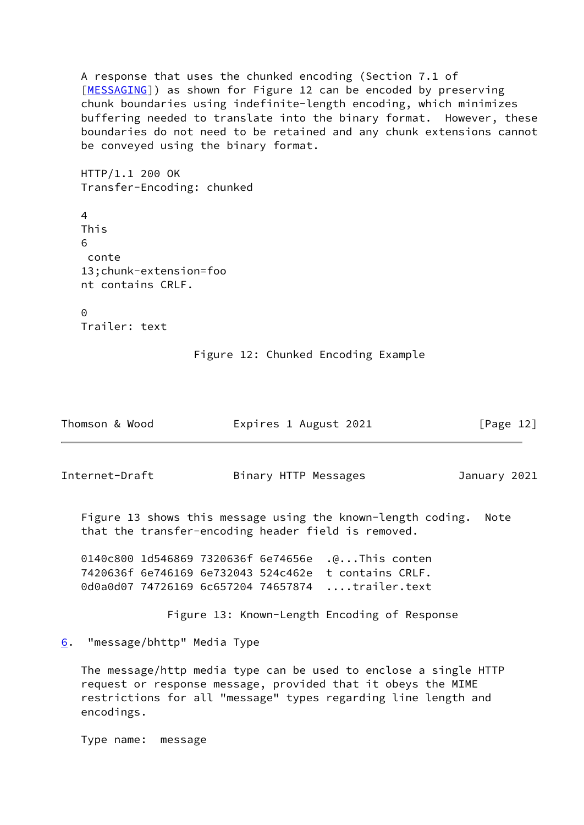A response that uses the chunked encoding (Section 7.1 of [\[MESSAGING](#page-15-6)]) as shown for Figure 12 can be encoded by preserving chunk boundaries using indefinite-length encoding, which minimizes buffering needed to translate into the binary format. However, these boundaries do not need to be retained and any chunk extensions cannot be conveyed using the binary format.

 Transfer-Encoding: chunked 4 This 6 conte 13;chunk-extension=foo nt contains CRLF.

 $\Omega$ Trailer: text

HTTP/1.1 200 OK

Figure 12: Chunked Encoding Example

| Thomson & Wood | Expires 1 August 2021 | [Page 12] |
|----------------|-----------------------|-----------|
|                |                       |           |
|                |                       |           |

<span id="page-13-1"></span>

Internet-Draft Binary HTTP Messages January 2021

 Figure 13 shows this message using the known-length coding. Note that the transfer-encoding header field is removed.

0140c800 1d546869 7320636f 6e74656e . a...This conten 7420636f 6e746169 6e732043 524c462e t contains CRLF. 0d0a0d07 74726169 6c657204 74657874 ....trailer.text

Figure 13: Known-Length Encoding of Response

<span id="page-13-0"></span>[6](#page-13-0). "message/bhttp" Media Type

 The message/http media type can be used to enclose a single HTTP request or response message, provided that it obeys the MIME restrictions for all "message" types regarding line length and encodings.

Type name: message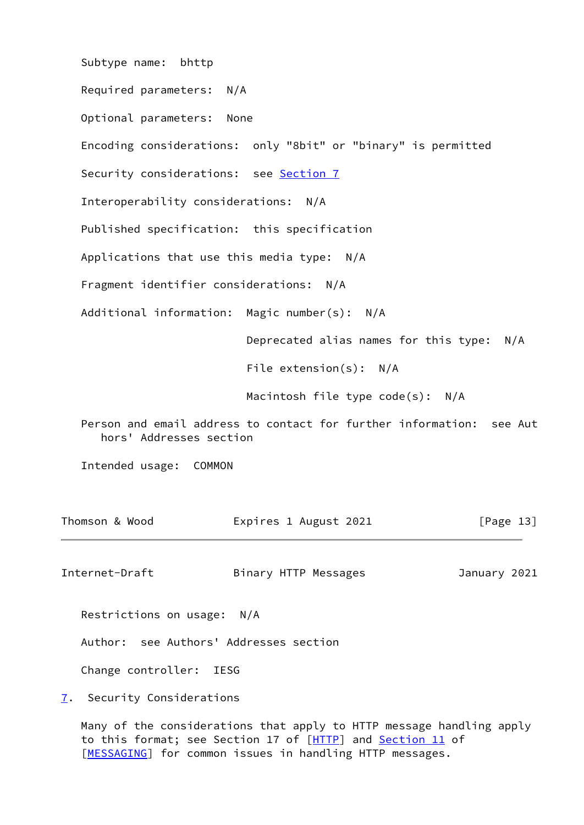Subtype name: bhttp Required parameters: N/A Optional parameters: None Encoding considerations: only "8bit" or "binary" is permitted Security considerations: see [Section 7](#page-14-0) Interoperability considerations: N/A Published specification: this specification Applications that use this media type: N/A Fragment identifier considerations: N/A Additional information: Magic number(s): N/A Deprecated alias names for this type: N/A File extension(s): N/A Macintosh file type code(s): N/A Person and email address to contact for further information: see Aut hors' Addresses section Intended usage: COMMON Thomson & Wood **Expires 1 August 2021** [Page 13]

<span id="page-14-1"></span>Internet-Draft Binary HTTP Messages January 2021

Restrictions on usage: N/A

Author: see Authors' Addresses section

Change controller: IESG

<span id="page-14-0"></span>[7](#page-14-0). Security Considerations

 Many of the considerations that apply to HTTP message handling apply to this format; see Section 17 of [[HTTP\]](#page-15-4) and Section 11 of [\[MESSAGING](#page-15-6)] for common issues in handling HTTP messages.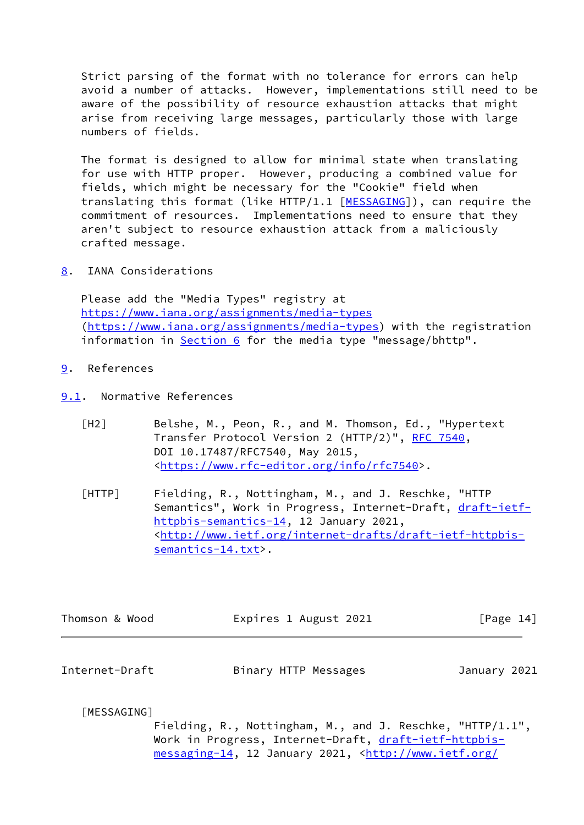Strict parsing of the format with no tolerance for errors can help avoid a number of attacks. However, implementations still need to be aware of the possibility of resource exhaustion attacks that might arise from receiving large messages, particularly those with large numbers of fields.

 The format is designed to allow for minimal state when translating for use with HTTP proper. However, producing a combined value for fields, which might be necessary for the "Cookie" field when translating this format (like HTTP/1.1 [\[MESSAGING](#page-15-6)]), can require the commitment of resources. Implementations need to ensure that they aren't subject to resource exhaustion attack from a maliciously crafted message.

<span id="page-15-0"></span>[8](#page-15-0). IANA Considerations

 Please add the "Media Types" registry at <https://www.iana.org/assignments/media-types> [\(https://www.iana.org/assignments/media-types](https://www.iana.org/assignments/media-types)) with the registration information in [Section 6](#page-13-0) for the media type "message/bhttp".

- <span id="page-15-1"></span>[9](#page-15-1). References
- <span id="page-15-5"></span><span id="page-15-4"></span><span id="page-15-2"></span>[9.1](#page-15-2). Normative References
	- [H2] Belshe, M., Peon, R., and M. Thomson, Ed., "Hypertext Transfer Protocol Version 2 (HTTP/2)", [RFC 7540](https://datatracker.ietf.org/doc/pdf/rfc7540), DOI 10.17487/RFC7540, May 2015, <[https://www.rfc-editor.org/info/rfc7540>](https://www.rfc-editor.org/info/rfc7540).
	- [HTTP] Fielding, R., Nottingham, M., and J. Reschke, "HTTP Semantics", Work in Progress, Internet-Draft, [draft-ietf](https://datatracker.ietf.org/doc/pdf/draft-ietf-httpbis-semantics-14) [httpbis-semantics-14,](https://datatracker.ietf.org/doc/pdf/draft-ietf-httpbis-semantics-14) 12 January 2021, <[http://www.ietf.org/internet-drafts/draft-ietf-httpbis](http://www.ietf.org/internet-drafts/draft-ietf-httpbis-semantics-14.txt) [semantics-14.txt>](http://www.ietf.org/internet-drafts/draft-ietf-httpbis-semantics-14.txt).

| Thomson & Wood | Expires 1 August 2021 | [Page 14] |
|----------------|-----------------------|-----------|
|                |                       |           |

<span id="page-15-3"></span>

| Internet-Draft | Binary HTTP Messages | January 2021 |
|----------------|----------------------|--------------|
|----------------|----------------------|--------------|

<span id="page-15-6"></span>[MESSAGING]

 Fielding, R., Nottingham, M., and J. Reschke, "HTTP/1.1", Work in Progress, Internet-Draft, [draft-ietf-httpbis](https://datatracker.ietf.org/doc/pdf/draft-ietf-httpbis-messaging-14)[messaging-14,](https://datatracker.ietf.org/doc/pdf/draft-ietf-httpbis-messaging-14) 12 January 2021, <[http://www.ietf.org/](http://www.ietf.org/internet-drafts/draft-ietf-httpbis-messaging-14.txt)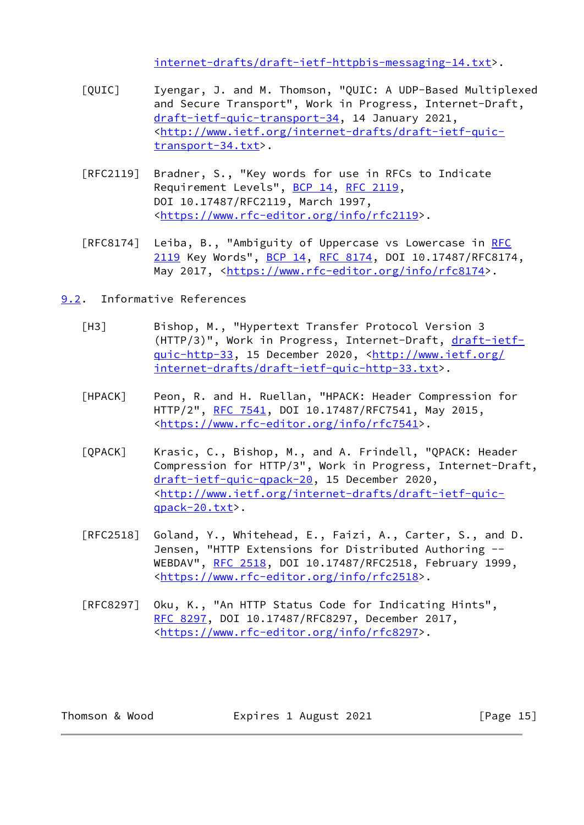[internet-drafts/draft-ietf-httpbis-messaging-14.txt](http://www.ietf.org/internet-drafts/draft-ietf-httpbis-messaging-14.txt)>.

- <span id="page-16-4"></span> [QUIC] Iyengar, J. and M. Thomson, "QUIC: A UDP-Based Multiplexed and Secure Transport", Work in Progress, Internet-Draft, [draft-ietf-quic-transport-34,](https://datatracker.ietf.org/doc/pdf/draft-ietf-quic-transport-34) 14 January 2021, <[http://www.ietf.org/internet-drafts/draft-ietf-quic](http://www.ietf.org/internet-drafts/draft-ietf-quic-transport-34.txt) [transport-34.txt>](http://www.ietf.org/internet-drafts/draft-ietf-quic-transport-34.txt).
- [RFC2119] Bradner, S., "Key words for use in RFCs to Indicate Requirement Levels", [BCP 14](https://datatracker.ietf.org/doc/pdf/bcp14), [RFC 2119](https://datatracker.ietf.org/doc/pdf/rfc2119), DOI 10.17487/RFC2119, March 1997, <[https://www.rfc-editor.org/info/rfc2119>](https://www.rfc-editor.org/info/rfc2119).
- [RFC8174] Leiba, B., "Ambiguity of Uppercase vs Lowercase in [RFC](https://datatracker.ietf.org/doc/pdf/rfc2119) [2119](https://datatracker.ietf.org/doc/pdf/rfc2119) Key Words", [BCP 14](https://datatracker.ietf.org/doc/pdf/bcp14), [RFC 8174,](https://datatracker.ietf.org/doc/pdf/rfc8174) DOI 10.17487/RFC8174, May 2017, [<https://www.rfc-editor.org/info/rfc8174](https://www.rfc-editor.org/info/rfc8174)>.
- <span id="page-16-3"></span><span id="page-16-2"></span><span id="page-16-1"></span><span id="page-16-0"></span>[9.2](#page-16-0). Informative References
	- [H3] Bishop, M., "Hypertext Transfer Protocol Version 3 (HTTP/3)", Work in Progress, Internet-Draft, [draft-ietf](https://datatracker.ietf.org/doc/pdf/draft-ietf-quic-http-33) guic-http-33, 15 December 2020, <[http://www.ietf.org/](http://www.ietf.org/internet-drafts/draft-ietf-quic-http-33.txt) [internet-drafts/draft-ietf-quic-http-33.txt](http://www.ietf.org/internet-drafts/draft-ietf-quic-http-33.txt)>.
	- [HPACK] Peon, R. and H. Ruellan, "HPACK: Header Compression for HTTP/2", [RFC 7541,](https://datatracker.ietf.org/doc/pdf/rfc7541) DOI 10.17487/RFC7541, May 2015, <[https://www.rfc-editor.org/info/rfc7541>](https://www.rfc-editor.org/info/rfc7541).
	- [QPACK] Krasic, C., Bishop, M., and A. Frindell, "QPACK: Header Compression for HTTP/3", Work in Progress, Internet-Draft, [draft-ietf-quic-qpack-20,](https://datatracker.ietf.org/doc/pdf/draft-ietf-quic-qpack-20) 15 December 2020, <[http://www.ietf.org/internet-drafts/draft-ietf-quic](http://www.ietf.org/internet-drafts/draft-ietf-quic-qpack-20.txt) [qpack-20.txt>](http://www.ietf.org/internet-drafts/draft-ietf-quic-qpack-20.txt).
	- [RFC2518] Goland, Y., Whitehead, E., Faizi, A., Carter, S., and D. Jensen, "HTTP Extensions for Distributed Authoring -- WEBDAV", [RFC 2518,](https://datatracker.ietf.org/doc/pdf/rfc2518) DOI 10.17487/RFC2518, February 1999, <[https://www.rfc-editor.org/info/rfc2518>](https://www.rfc-editor.org/info/rfc2518).
	- [RFC8297] Oku, K., "An HTTP Status Code for Indicating Hints", [RFC 8297,](https://datatracker.ietf.org/doc/pdf/rfc8297) DOI 10.17487/RFC8297, December 2017, <[https://www.rfc-editor.org/info/rfc8297>](https://www.rfc-editor.org/info/rfc8297).

Thomson & Wood **Expires 1 August 2021** [Page 15]